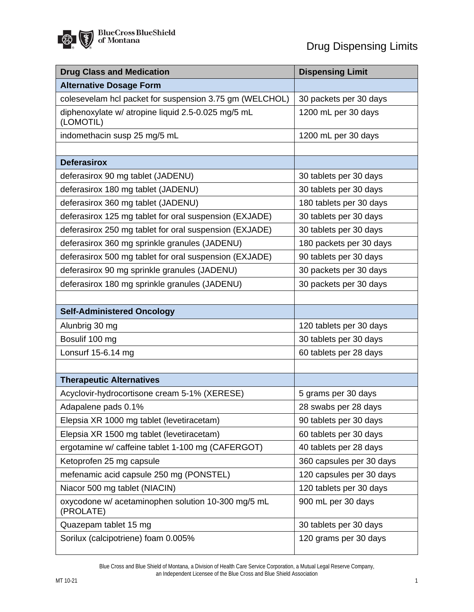| <b>Drug Class and Medication</b>                                | <b>Dispensing Limit</b>  |
|-----------------------------------------------------------------|--------------------------|
| <b>Alternative Dosage Form</b>                                  |                          |
| colesevelam hcl packet for suspension 3.75 gm (WELCHOL)         | 30 packets per 30 days   |
| diphenoxylate w/ atropine liquid 2.5-0.025 mg/5 mL<br>(LOMOTIL) | 1200 mL per 30 days      |
| indomethacin susp 25 mg/5 mL                                    | 1200 mL per 30 days      |
|                                                                 |                          |
| <b>Deferasirox</b>                                              |                          |
| deferasirox 90 mg tablet (JADENU)                               | 30 tablets per 30 days   |
| deferasirox 180 mg tablet (JADENU)                              | 30 tablets per 30 days   |
| deferasirox 360 mg tablet (JADENU)                              | 180 tablets per 30 days  |
| deferasirox 125 mg tablet for oral suspension (EXJADE)          | 30 tablets per 30 days   |
| deferasirox 250 mg tablet for oral suspension (EXJADE)          | 30 tablets per 30 days   |
| deferasirox 360 mg sprinkle granules (JADENU)                   | 180 packets per 30 days  |
| deferasirox 500 mg tablet for oral suspension (EXJADE)          | 90 tablets per 30 days   |
| deferasirox 90 mg sprinkle granules (JADENU)                    | 30 packets per 30 days   |
| deferasirox 180 mg sprinkle granules (JADENU)                   | 30 packets per 30 days   |
|                                                                 |                          |
| <b>Self-Administered Oncology</b>                               |                          |
| Alunbrig 30 mg                                                  | 120 tablets per 30 days  |
| Bosulif 100 mg                                                  | 30 tablets per 30 days   |
| Lonsurf 15-6.14 mg                                              | 60 tablets per 28 days   |
|                                                                 |                          |
| <b>Therapeutic Alternatives</b>                                 |                          |
| Acyclovir-hydrocortisone cream 5-1% (XERESE)                    | 5 grams per 30 days      |
| Adapalene pads 0.1%                                             | 28 swabs per 28 days     |
| Elepsia XR 1000 mg tablet (levetiracetam)                       | 90 tablets per 30 days   |
| Elepsia XR 1500 mg tablet (levetiracetam)                       | 60 tablets per 30 days   |
| ergotamine w/ caffeine tablet 1-100 mg (CAFERGOT)               | 40 tablets per 28 days   |
| Ketoprofen 25 mg capsule                                        | 360 capsules per 30 days |
| mefenamic acid capsule 250 mg (PONSTEL)                         | 120 capsules per 30 days |
| Niacor 500 mg tablet (NIACIN)                                   | 120 tablets per 30 days  |
| oxycodone w/ acetaminophen solution 10-300 mg/5 mL<br>(PROLATE) | 900 mL per 30 days       |
| Quazepam tablet 15 mg                                           | 30 tablets per 30 days   |
| Sorilux (calcipotriene) foam 0.005%                             | 120 grams per 30 days    |

Blue Cross and Blue Shield of Montana, a Division of Health Care Service Corporation, a Mutual Legal Reserve Company, an Independent Licensee of the Blue Cross and Blue Shield Association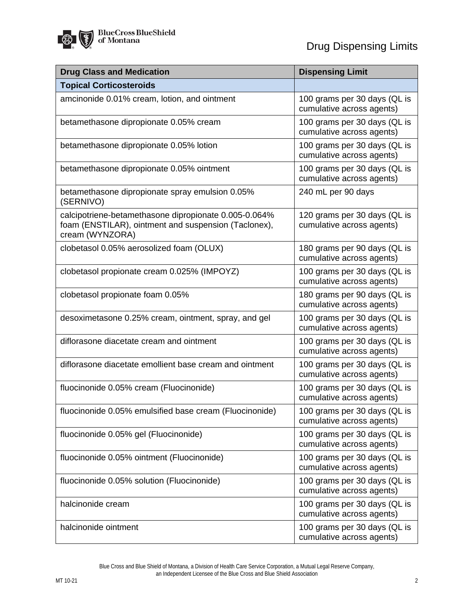| <b>Drug Class and Medication</b>                                                                                                 | <b>Dispensing Limit</b>                                   |
|----------------------------------------------------------------------------------------------------------------------------------|-----------------------------------------------------------|
| <b>Topical Corticosteroids</b>                                                                                                   |                                                           |
| amcinonide 0.01% cream, lotion, and ointment                                                                                     | 100 grams per 30 days (QL is<br>cumulative across agents) |
| betamethasone dipropionate 0.05% cream                                                                                           | 100 grams per 30 days (QL is<br>cumulative across agents) |
| betamethasone dipropionate 0.05% lotion                                                                                          | 100 grams per 30 days (QL is<br>cumulative across agents) |
| betamethasone dipropionate 0.05% ointment                                                                                        | 100 grams per 30 days (QL is<br>cumulative across agents) |
| betamethasone dipropionate spray emulsion 0.05%<br>(SERNIVO)                                                                     | 240 mL per 90 days                                        |
| calcipotriene-betamethasone dipropionate 0.005-0.064%<br>foam (ENSTILAR), ointment and suspension (Taclonex),<br>cream (WYNZORA) | 120 grams per 30 days (QL is<br>cumulative across agents) |
| clobetasol 0.05% aerosolized foam (OLUX)                                                                                         | 180 grams per 90 days (QL is<br>cumulative across agents) |
| clobetasol propionate cream 0.025% (IMPOYZ)                                                                                      | 100 grams per 30 days (QL is<br>cumulative across agents) |
| clobetasol propionate foam 0.05%                                                                                                 | 180 grams per 90 days (QL is<br>cumulative across agents) |
| desoximetasone 0.25% cream, ointment, spray, and gel                                                                             | 100 grams per 30 days (QL is<br>cumulative across agents) |
| diflorasone diacetate cream and ointment                                                                                         | 100 grams per 30 days (QL is<br>cumulative across agents) |
| diflorasone diacetate emollient base cream and ointment                                                                          | 100 grams per 30 days (QL is<br>cumulative across agents) |
| fluocinonide 0.05% cream (Fluocinonide)                                                                                          | 100 grams per 30 days (QL is<br>cumulative across agents) |
| fluocinonide 0.05% emulsified base cream (Fluocinonide)                                                                          | 100 grams per 30 days (QL is<br>cumulative across agents) |
| fluocinonide 0.05% gel (Fluocinonide)                                                                                            | 100 grams per 30 days (QL is<br>cumulative across agents) |
| fluocinonide 0.05% ointment (Fluocinonide)                                                                                       | 100 grams per 30 days (QL is<br>cumulative across agents) |
| fluocinonide 0.05% solution (Fluocinonide)                                                                                       | 100 grams per 30 days (QL is<br>cumulative across agents) |
| halcinonide cream                                                                                                                | 100 grams per 30 days (QL is<br>cumulative across agents) |
| halcinonide ointment                                                                                                             | 100 grams per 30 days (QL is<br>cumulative across agents) |

Blue Cross and Blue Shield of Montana, a Division of Health Care Service Corporation, a Mutual Legal Reserve Company, an Independent Licensee of the Blue Cross and Blue Shield Association